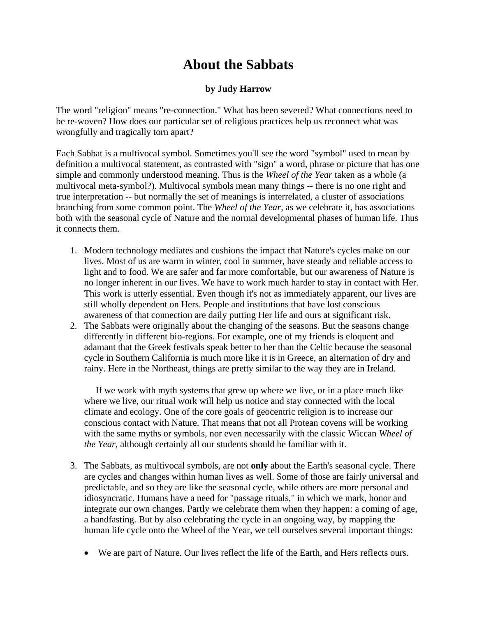## **About the Sabbats**

## **by Judy Harrow**

The word "religion" means "re-connection." What has been severed? What connections need to be re-woven? How does our particular set of religious practices help us reconnect what was wrongfully and tragically torn apart?

Each Sabbat is a multivocal symbol. Sometimes you'll see the word "symbol" used to mean by definition a multivocal statement, as contrasted with "sign" a word, phrase or picture that has one simple and commonly understood meaning. Thus is the *Wheel of the Year* taken as a whole (a multivocal meta-symbol?). Multivocal symbols mean many things -- there is no one right and true interpretation -- but normally the set of meanings is interrelated, a cluster of associations branching from some common point. The *Wheel of the Year*, as we celebrate it, has associations both with the seasonal cycle of Nature and the normal developmental phases of human life. Thus it connects them.

- 1. Modern technology mediates and cushions the impact that Nature's cycles make on our lives. Most of us are warm in winter, cool in summer, have steady and reliable access to light and to food. We are safer and far more comfortable, but our awareness of Nature is no longer inherent in our lives. We have to work much harder to stay in contact with Her. This work is utterly essential. Even though it's not as immediately apparent, our lives are still wholly dependent on Hers. People and institutions that have lost conscious awareness of that connection are daily putting Her life and ours at significant risk.
- 2. The Sabbats were originally about the changing of the seasons. But the seasons change differently in different bio-regions. For example, one of my friends is eloquent and adamant that the Greek festivals speak better to her than the Celtic because the seasonal cycle in Southern California is much more like it is in Greece, an alternation of dry and rainy. Here in the Northeast, things are pretty similar to the way they are in Ireland.

 If we work with myth systems that grew up where we live, or in a place much like where we live, our ritual work will help us notice and stay connected with the local climate and ecology. One of the core goals of geocentric religion is to increase our conscious contact with Nature. That means that not all Protean covens will be working with the same myths or symbols, nor even necessarily with the classic Wiccan *Wheel of the Year*, although certainly all our students should be familiar with it.

- 3. The Sabbats, as multivocal symbols, are not **only** about the Earth's seasonal cycle. There are cycles and changes within human lives as well. Some of those are fairly universal and predictable, and so they are like the seasonal cycle, while others are more personal and idiosyncratic. Humans have a need for "passage rituals," in which we mark, honor and integrate our own changes. Partly we celebrate them when they happen: a coming of age, a handfasting. But by also celebrating the cycle in an ongoing way, by mapping the human life cycle onto the Wheel of the Year, we tell ourselves several important things:
	- We are part of Nature. Our lives reflect the life of the Earth, and Hers reflects ours.